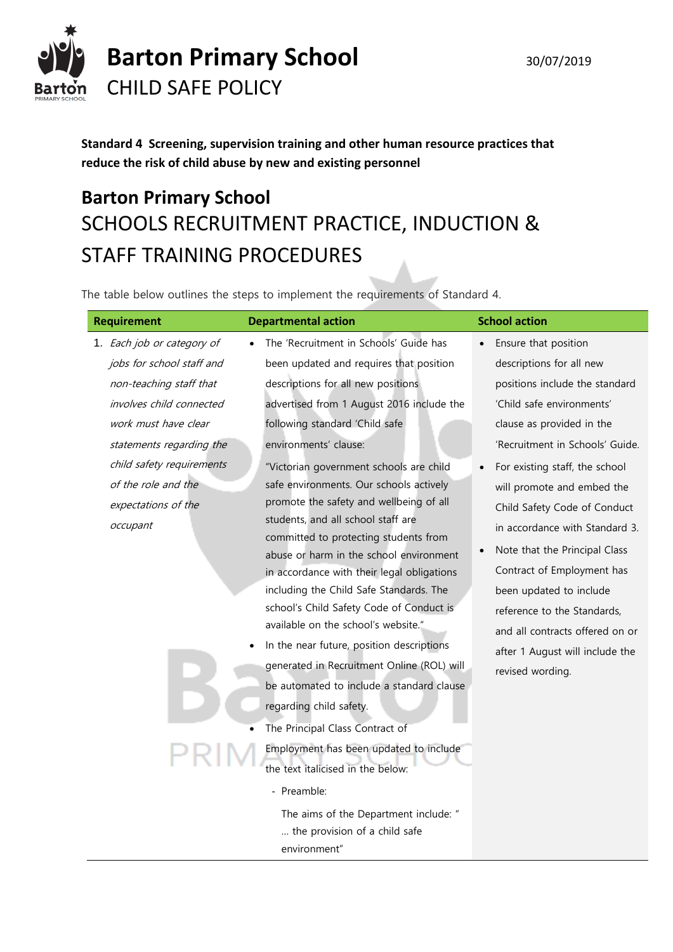

**Standard 4 Screening, supervision training and other human resource practices that reduce the risk of child abuse by new and existing personnel**

# **Barton Primary School** SCHOOLS RECRUITMENT PRACTICE, INDUCTION & STAFF TRAINING PROCEDURES

The table below outlines the steps to implement the requirements of Standard 4.

| <b>Requirement</b>         | <b>Departmental action</b>                                                  | <b>School action</b>            |
|----------------------------|-----------------------------------------------------------------------------|---------------------------------|
| 1. Each job or category of | The 'Recruitment in Schools' Guide has                                      | Ensure that position            |
| jobs for school staff and  | been updated and requires that position                                     | descriptions for all new        |
| non-teaching staff that    | descriptions for all new positions                                          | positions include the standard  |
| involves child connected   | advertised from 1 August 2016 include the                                   | 'Child safe environments'       |
| work must have clear       | following standard 'Child safe                                              | clause as provided in the       |
| statements regarding the   | environments' clause:                                                       | 'Recruitment in Schools' Guide. |
| child safety requirements  | "Victorian government schools are child                                     | For existing staff, the school  |
| of the role and the        | safe environments. Our schools actively                                     | will promote and embed the      |
| expectations of the        | promote the safety and wellbeing of all                                     | Child Safety Code of Conduct    |
| occupant                   | students, and all school staff are<br>committed to protecting students from | in accordance with Standard 3.  |
|                            | abuse or harm in the school environment                                     | Note that the Principal Class   |
|                            | in accordance with their legal obligations                                  | Contract of Employment has      |
|                            | including the Child Safe Standards. The                                     | been updated to include         |
|                            | school's Child Safety Code of Conduct is                                    | reference to the Standards,     |
|                            | available on the school's website."                                         | and all contracts offered on or |
|                            | In the near future, position descriptions                                   | after 1 August will include the |
|                            | generated in Recruitment Online (ROL) will                                  | revised wording.                |
|                            | be automated to include a standard clause                                   |                                 |
|                            | regarding child safety.                                                     |                                 |
|                            | The Principal Class Contract of                                             |                                 |
|                            | Employment has been updated to include                                      |                                 |
|                            | the text italicised in the below:                                           |                                 |
|                            | - Preamble:                                                                 |                                 |
|                            | The aims of the Department include: "                                       |                                 |
|                            | the provision of a child safe                                               |                                 |
|                            | environment"                                                                |                                 |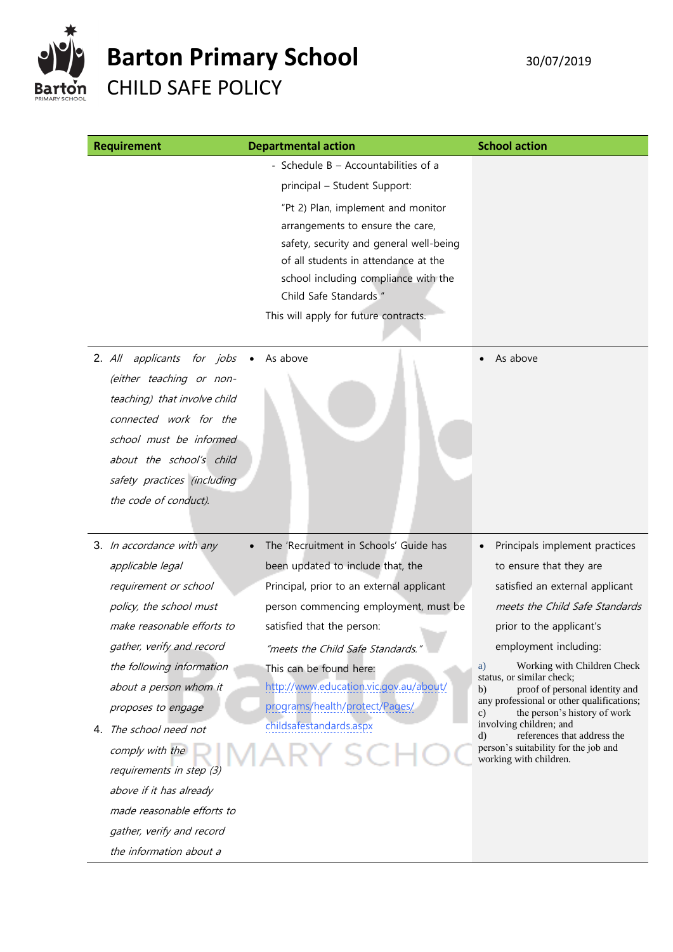

the information about a

| <b>Requirement</b>                                                                                                                                                                                                                   | <b>Departmental action</b>                                                                                                                                                                                                                                           | <b>School action</b>                                                            |
|--------------------------------------------------------------------------------------------------------------------------------------------------------------------------------------------------------------------------------------|----------------------------------------------------------------------------------------------------------------------------------------------------------------------------------------------------------------------------------------------------------------------|---------------------------------------------------------------------------------|
|                                                                                                                                                                                                                                      | - Schedule B - Accountabilities of a<br>principal - Student Support:                                                                                                                                                                                                 |                                                                                 |
|                                                                                                                                                                                                                                      | "Pt 2) Plan, implement and monitor<br>arrangements to ensure the care,<br>safety, security and general well-being<br>of all students in attendance at the<br>school including compliance with the<br>Child Safe Standards "<br>This will apply for future contracts. |                                                                                 |
| $2.$ All<br>applicants for jobs<br>(either teaching or non-<br>teaching) that involve child<br>connected work for the<br>school must be informed<br>about the school's child<br>safety practices (including<br>the code of conduct). | As above                                                                                                                                                                                                                                                             | As above                                                                        |
| 3. In accordance with any                                                                                                                                                                                                            | The 'Recruitment in Schools' Guide has                                                                                                                                                                                                                               | Principals implement practices                                                  |
| applicable legal                                                                                                                                                                                                                     | been updated to include that, the                                                                                                                                                                                                                                    | to ensure that they are                                                         |
| requirement or school                                                                                                                                                                                                                | Principal, prior to an external applicant                                                                                                                                                                                                                            | satisfied an external applicant                                                 |
| policy, the school must                                                                                                                                                                                                              | person commencing employment, must be                                                                                                                                                                                                                                | meets the Child Safe Standards                                                  |
| make reasonable efforts to                                                                                                                                                                                                           | satisfied that the person:                                                                                                                                                                                                                                           | prior to the applicant's                                                        |
| gather, verify and record<br>the following information                                                                                                                                                                               | "meets the Child Safe Standards."<br>This can be found here:                                                                                                                                                                                                         | employment including:<br>Working with Children Check<br>a)                      |
| about a person whom it                                                                                                                                                                                                               | http://www.education.vic.gov.au/about/                                                                                                                                                                                                                               | status, or similar check;<br>proof of personal identity and<br>b)               |
| proposes to engage                                                                                                                                                                                                                   | programs/health/protect/Pages/                                                                                                                                                                                                                                       | any professional or other qualifications;<br>the person's history of work<br>c) |
| 4. The school need not                                                                                                                                                                                                               | childsafestandards.aspx                                                                                                                                                                                                                                              | involving children; and<br>references that address the<br>d)                    |
| comply with the<br>requirements in step (3)                                                                                                                                                                                          | KY SC.                                                                                                                                                                                                                                                               | person's suitability for the job and<br>working with children.                  |
| above if it has already                                                                                                                                                                                                              |                                                                                                                                                                                                                                                                      |                                                                                 |
| made reasonable efforts to                                                                                                                                                                                                           |                                                                                                                                                                                                                                                                      |                                                                                 |
| gather, verify and record                                                                                                                                                                                                            |                                                                                                                                                                                                                                                                      |                                                                                 |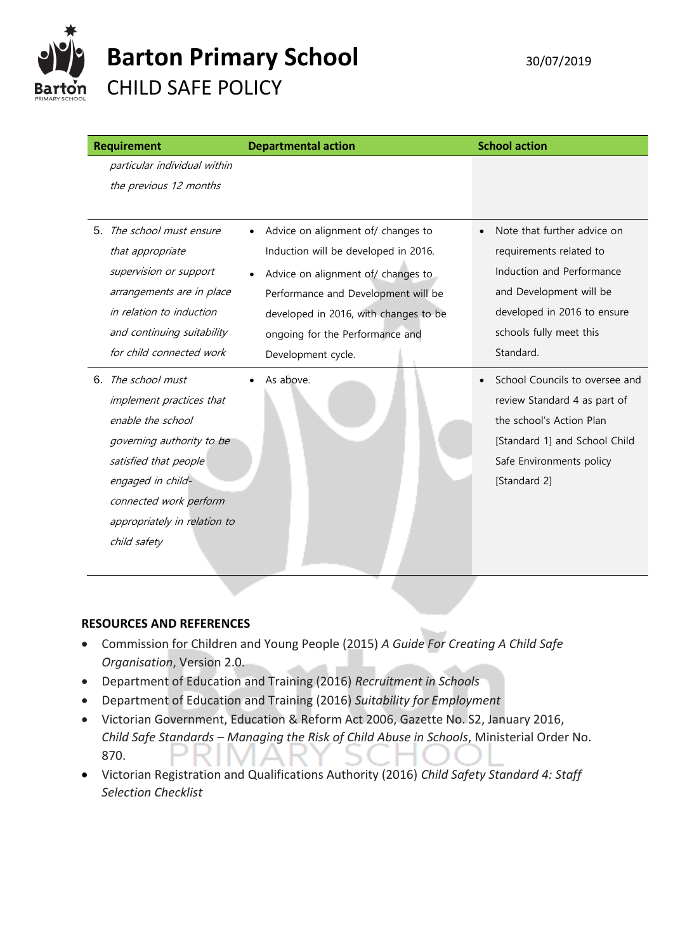

|    | <b>Requirement</b>                                                                                                                                                                                                    | <b>Departmental action</b>                                                                                                                                                                                                                                                          | <b>School action</b>                                                                                                                                                                  |
|----|-----------------------------------------------------------------------------------------------------------------------------------------------------------------------------------------------------------------------|-------------------------------------------------------------------------------------------------------------------------------------------------------------------------------------------------------------------------------------------------------------------------------------|---------------------------------------------------------------------------------------------------------------------------------------------------------------------------------------|
|    | particular individual within<br>the previous 12 months                                                                                                                                                                |                                                                                                                                                                                                                                                                                     |                                                                                                                                                                                       |
| 5. | The school must ensure<br>that appropriate<br>supervision or support<br>arrangements are in place<br>in relation to induction<br>and continuing suitability<br>for child connected work                               | Advice on alignment of/ changes to<br>$\bullet$<br>Induction will be developed in 2016.<br>Advice on alignment of/ changes to<br>$\bullet$<br>Performance and Development will be<br>developed in 2016, with changes to be<br>ongoing for the Performance and<br>Development cycle. | Note that further advice on<br>requirements related to<br>Induction and Performance<br>and Development will be<br>developed in 2016 to ensure<br>schools fully meet this<br>Standard. |
| 6. | The school must<br>implement practices that<br>enable the school<br>governing authority to be<br>satisfied that people<br>engaged in child-<br>connected work perform<br>appropriately in relation to<br>child safety | As above.                                                                                                                                                                                                                                                                           | School Councils to oversee and<br>review Standard 4 as part of<br>the school's Action Plan<br>[Standard 1] and School Child<br>Safe Environments policy<br>[Standard 2]               |

#### **RESOURCES AND REFERENCES**

- Commission for Children and Young People (2015) *A Guide For Creating A Child Safe Organisation*, Version 2.0.
- Department of Education and Training (2016) *Recruitment in Schools*
- Department of Education and Training (2016) *Suitability for Employment*
- Victorian Government, Education & Reform Act 2006, Gazette No. S2, January 2016, *Child Safe Standards – Managing the Risk of Child Abuse in Schools*, Ministerial Order No. 870.
- Victorian Registration and Qualifications Authority (2016) *Child Safety Standard 4: Staff Selection Checklist*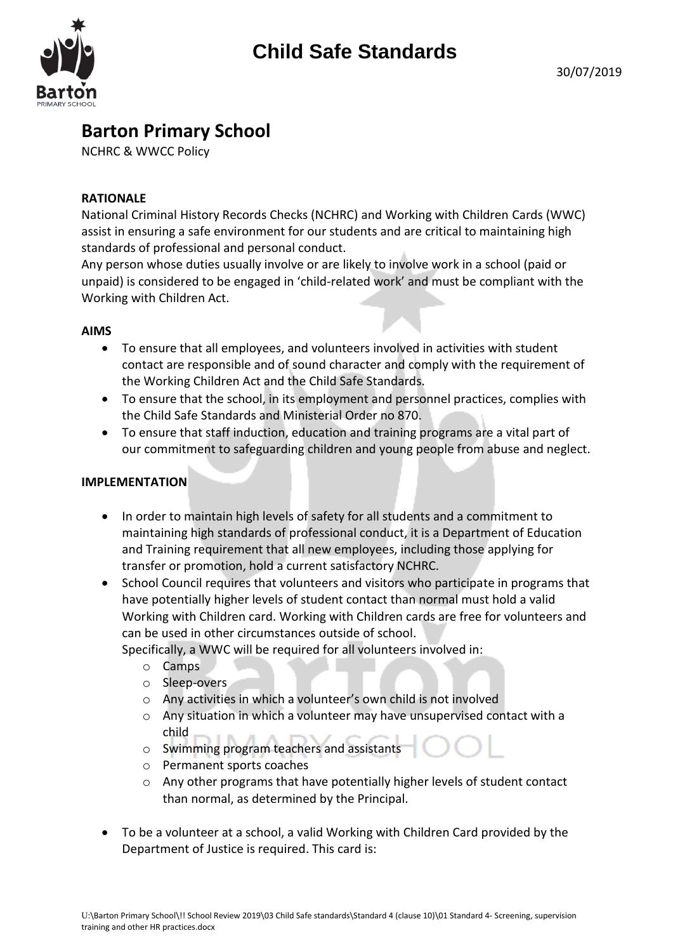

### **Barton Primary School**

NCHRC & WWCC Policy

#### **RATIONALE**

National Criminal History Records Checks (NCHRC) and Working with Children Cards (WWC) assist in ensuring a safe environment for our students and are critical to maintaining high standards of professional and personal conduct.

Any person whose duties usually involve or are likely to involve work in a school (paid or unpaid) is considered to be engaged in 'child-related work' and must be compliant with the Working with Children Act.

#### **AIMS**

- To ensure that all employees, and volunteers involved in activities with student contact are responsible and of sound character and comply with the requirement of the Working Children Act and the Child Safe Standards.
- To ensure that the school, in its employment and personnel practices, complies with the Child Safe Standards and Ministerial Order no 870.
- To ensure that staff induction, education and training programs are a vital part of our commitment to safeguarding children and young people from abuse and neglect.

#### **IMPLEMENTATION**

- In order to maintain high levels of safety for all students and a commitment to maintaining high standards of professional conduct, it is a Department of Education and Training requirement that all new employees, including those applying for transfer or promotion, hold a current satisfactory NCHRC.
- School Council requires that volunteers and visitors who participate in programs that have potentially higher levels of student contact than normal must hold a valid Working with Children card. Working with Children cards are free for volunteers and can be used in other circumstances outside of school.

Specifically, a WWC will be required for all volunteers involved in:

- o Camps
- o Sleep-overs
- o Any activities in which a volunteer's own child is not involved
- o Any situation in which a volunteer may have unsupervised contact with a child
- o Swimming program teachers and assistants
- o Permanent sports coaches
- o Any other programs that have potentially higher levels of student contact than normal, as determined by the Principal.
- To be a volunteer at a school, a valid Working with Children Card provided by the Department of Justice is required. This card is: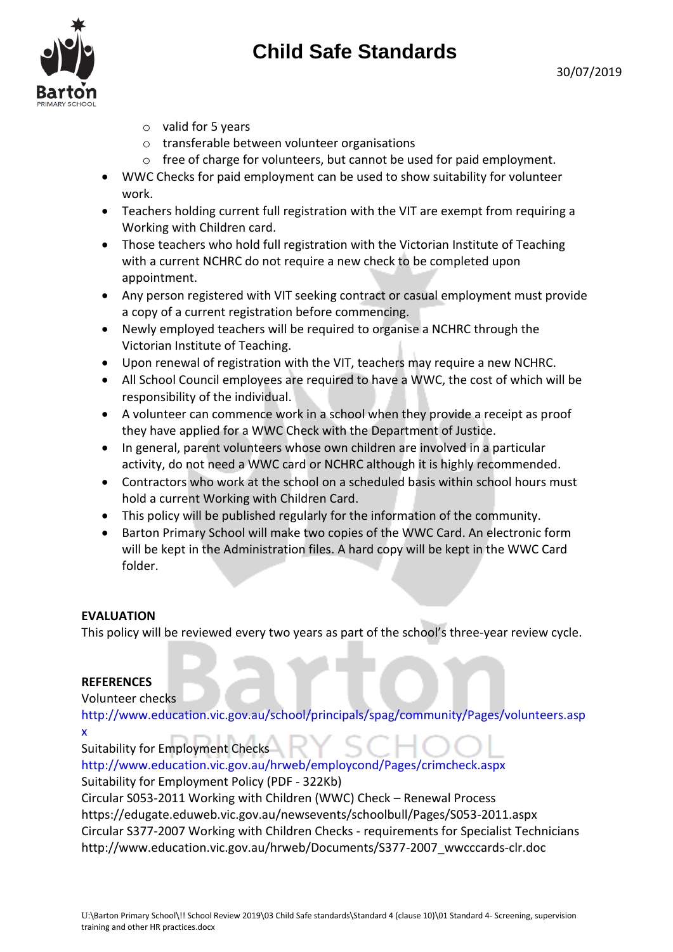## **Child Safe Standards**

- o valid for 5 years
- o transferable between volunteer organisations
- o free of charge for volunteers, but cannot be used for paid employment.
- WWC Checks for paid employment can be used to show suitability for volunteer work.
- Teachers holding current full registration with the VIT are exempt from requiring a Working with Children card.
- Those teachers who hold full registration with the Victorian Institute of Teaching with a current NCHRC do not require a new check to be completed upon appointment.
- Any person registered with VIT seeking contract or casual employment must provide a copy of a current registration before commencing.
- Newly employed teachers will be required to organise a NCHRC through the Victorian Institute of Teaching.
- Upon renewal of registration with the VIT, teachers may require a new NCHRC.
- All School Council employees are required to have a WWC, the cost of which will be responsibility of the individual.
- A volunteer can commence work in a school when they provide a receipt as proof they have applied for a WWC Check with the Department of Justice.
- In general, parent volunteers whose own children are involved in a particular activity, do not need a WWC card or NCHRC although it is highly recommended.
- Contractors who work at the school on a scheduled basis within school hours must hold a current Working with Children Card.
- This policy will be published regularly for the information of the community.
- Barton Primary School will make two copies of the WWC Card. An electronic form will be kept in the Administration files. A hard copy will be kept in the WWC Card folder.

#### **EVALUATION**

This policy will be reviewed every two years as part of the school's three-year review cycle.

#### **REFERENCES**

Volunteer checks

http://www.education.vic.gov.au/school/principals/spag/community/Pages/volunteers.asp x

Suitability for Employment Checks http://www.education.vic.gov.au/hrweb/employcond/Pages/crimcheck.aspx Suitability for Employment Policy (PDF - 322Kb) Circular S053-2011 Working with Children (WWC) Check – Renewal Process https://edugate.eduweb.vic.gov.au/newsevents/schoolbull/Pages/S053-2011.aspx Circular S377-2007 Working with Children Checks - requirements for Specialist Technicians http://www.education.vic.gov.au/hrweb/Documents/S377-2007\_wwcccards-clr.doc